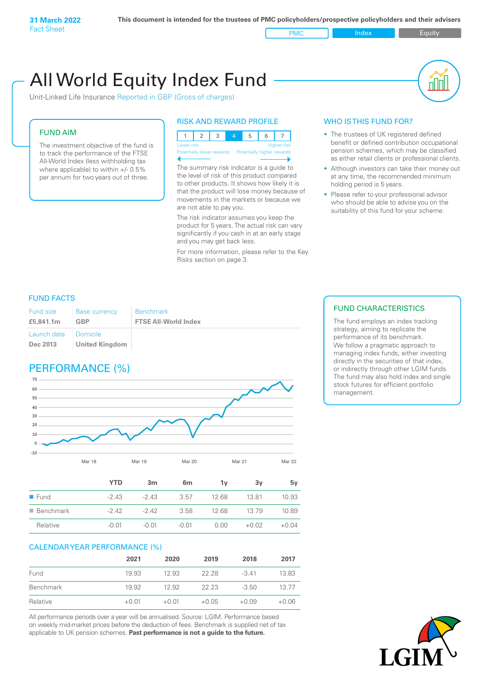PMC Index Index Equity

# All World Equity Index Fund

Unit-Linked Life Insurance Reported in GBP (Gross of charges)

#### FUND AIM

The investment objective of the fund is to track the performance of the FTSE All-World Index (less withholding tax where applicable) to within +/- 0.5% per annum for two years out of three.

#### RISK AND REWARD PROFILE



Potentially higher rewards The summary risk indicator is a guide to

the level of risk of this product compared to other products. It shows how likely it is that the product will lose money because of movements in the markets or because we are not able to pay you.

The risk indicator assumes you keep the product for 5 years. The actual risk can vary significantly if you cash in at an early stage and you may get back less.

For more information, please refer to the Key Risks section on page 3.

#### WHO IS THIS FUND FOR?

- The trustees of UK registered defined benefit or defined contribution occupational pension schemes, which may be classified as either retail clients or professional clients.
- Although investors can take their money out at any time, the recommended minimum holding period is 5 years.
- Please refer to your professional advisor who should be able to advise you on the suitability of this fund for your scheme.

#### FUND FACTS

| <b>Fund size</b>        | Base currency                            | <b>Benchmark</b>            |
|-------------------------|------------------------------------------|-----------------------------|
| £5,841.1m               | GBP                                      | <b>FTSE All-World Index</b> |
| Launch date<br>Dec 2013 | <b>Domicile</b><br><b>United Kingdom</b> |                             |

## PERFORMANCE (%)



|                          | <b>YTD</b> | 3 <sub>m</sub> | 6 <sub>m</sub> | 1v    | 3v      | 5v      |
|--------------------------|------------|----------------|----------------|-------|---------|---------|
| $\blacksquare$ Fund      | $-2.43$    | $-2.43$        | 3.57           | 12.68 | 1381    | 10.93   |
| $\blacksquare$ Benchmark | $-2.42$    | -242           | 3.58           | 12.68 | 13.79   | 10.89   |
| Relative                 | $-0.01$    | $-0.01$        | $-0.01$        | 0.00  | $+0.02$ | $+0.04$ |

#### CALENDAR YEAR PERFORMANCE (%)

|           | 2021    | 2020    | 2019    | 2018    | 2017    |
|-----------|---------|---------|---------|---------|---------|
| Fund      | 19.93   | 12.93   | 22.28   | $-3.41$ | 13.83   |
| Benchmark | 19.92   | 12.92   | 22.23   | $-3.50$ | 13.77   |
| Relative  | $+0.01$ | $+0.01$ | $+0.05$ | $+0.09$ | $+0.06$ |

All performance periods over a year will be annualised. Source: LGIM. Performance based on weekly mid-market prices before the deduction of fees. Benchmark is supplied net of tax applicable to UK pension schemes. **Past performance is not a guide to the future.**

#### FUND CHARACTERISTICS

The fund employs an index tracking strategy, aiming to replicate the performance of its benchmark. We follow a pragmatic approach to managing index funds, either investing directly in the securities of that index, or indirectly through other LGIM funds. The fund may also hold index and single stock futures for efficient portfolio management.

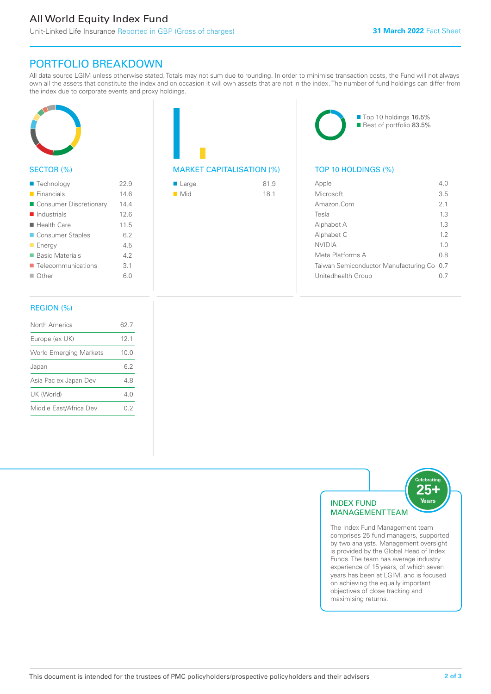# All World Equity Index Fund

Unit-Linked Life Insurance Reported in GBP (Gross of charges)

# PORTFOLIO BREAKDOWN

All data source LGIM unless otherwise stated. Totals may not sum due to rounding. In order to minimise transaction costs, the Fund will not always own all the assets that constitute the index and on occasion it will own assets that are not in the index. The number of fund holdings can differ from the index due to corporate events and proxy holdings.



#### SECTOR (%)

| ■ Technology               | 22.9 |
|----------------------------|------|
| $\blacksquare$ Financials  | 14.6 |
| ■ Consumer Discretionary   | 14.4 |
| $\blacksquare$ Industrials | 12.6 |
| $\blacksquare$ Health Care | 11.5 |
| ■ Consumer Staples         | 6.2  |
| $\blacksquare$ Energy      | 4.5  |
| ■ Basic Materials          | 42   |
| Telecommunications         | 3.1  |
| $\blacksquare$ Other       | 6.0  |
|                            |      |

#### REGION (%)

| North America                 | 62 7            |
|-------------------------------|-----------------|
| Europe (ex UK)                | 12 <sub>1</sub> |
| <b>World Emerging Markets</b> | 10.0            |
| Japan                         | 6.2             |
| Asia Pac ex Japan Dev         | 48              |
| UK (World)                    | 4 N             |
| Middle East/Africa Dev        | 02              |
|                               |                 |

#### MARKET CAPITALISATION (%) TOP 10 HOLDINGS (%)

| ■ Large            | 81.9 |
|--------------------|------|
| $\blacksquare$ Mid | 18.1 |



| 4 N                                       |
|-------------------------------------------|
| 3.5                                       |
| 2 <sub>1</sub>                            |
| 13                                        |
| 13                                        |
| 12                                        |
| 1 <sub>0</sub>                            |
| 0 S                                       |
| Taiwan Semiconductor Manufacturing Co 0.7 |
|                                           |
|                                           |



The Index Fund Management team comprises 25 fund managers, supported by two analysts. Management oversight is provided by the Global Head of Index Funds. The team has average industry experience of 15 years, of which seven years has been at LGIM, and is focused on achieving the equally important objectives of close tracking and maximising returns.